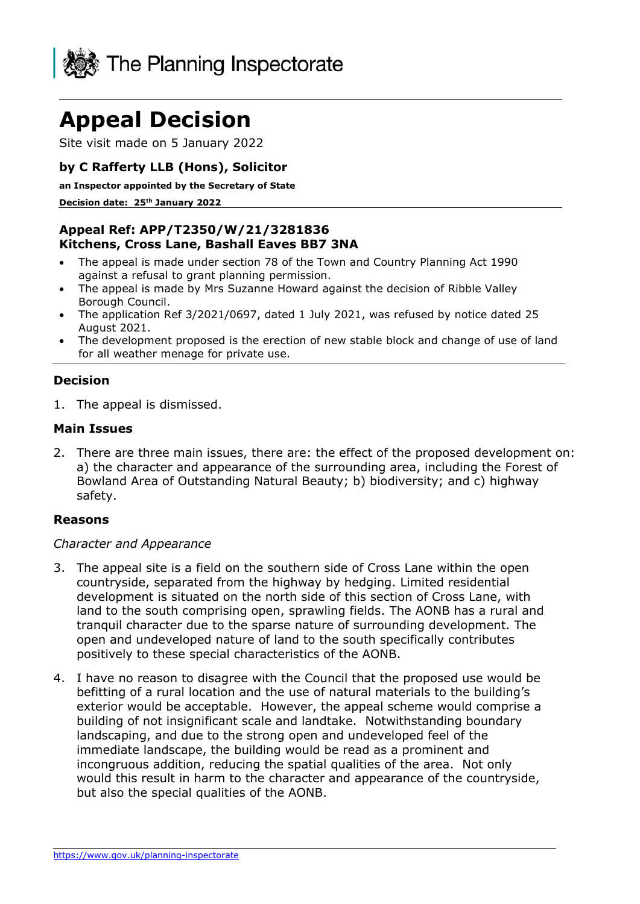

# **Appeal Decision**

Site visit made on 5 January 2022

### **by C Rafferty LLB (Hons), Solicitor**

**an Inspector appointed by the Secretary of State** 

**Decision date: 25th January 2022**

### **Appeal Ref: APP/T2350/W/21/3281836 Kitchens, Cross Lane, Bashall Eaves BB7 3NA**

- The appeal is made under section 78 of the Town and Country Planning Act 1990 against a refusal to grant planning permission.
- The appeal is made by Mrs Suzanne Howard against the decision of Ribble Valley Borough Council.
- The application Ref 3/2021/0697, dated 1 July 2021, was refused by notice dated 25 August 2021.
- The development proposed is the erection of new stable block and change of use of land for all weather menage for private use.

#### **Decision**

1. The appeal is dismissed.

#### **Main Issues**

2. There are three main issues, there are: the effect of the proposed development on: a) the character and appearance of the surrounding area, including the Forest of Bowland Area of Outstanding Natural Beauty; b) biodiversity; and c) highway safety.

#### **Reasons**

#### *Character and Appearance*

- 3. The appeal site is a field on the southern side of Cross Lane within the open countryside, separated from the highway by hedging. Limited residential development is situated on the north side of this section of Cross Lane, with land to the south comprising open, sprawling fields. The AONB has a rural and tranquil character due to the sparse nature of surrounding development. The open and undeveloped nature of land to the south specifically contributes positively to these special characteristics of the AONB.
- 4. I have no reason to disagree with the Council that the proposed use would be befitting of a rural location and the use of natural materials to the building's exterior would be acceptable. However, the appeal scheme would comprise a building of not insignificant scale and landtake. Notwithstanding boundary landscaping, and due to the strong open and undeveloped feel of the immediate landscape, the building would be read as a prominent and incongruous addition, reducing the spatial qualities of the area. Not only would this result in harm to the character and appearance of the countryside, but also the special qualities of the AONB.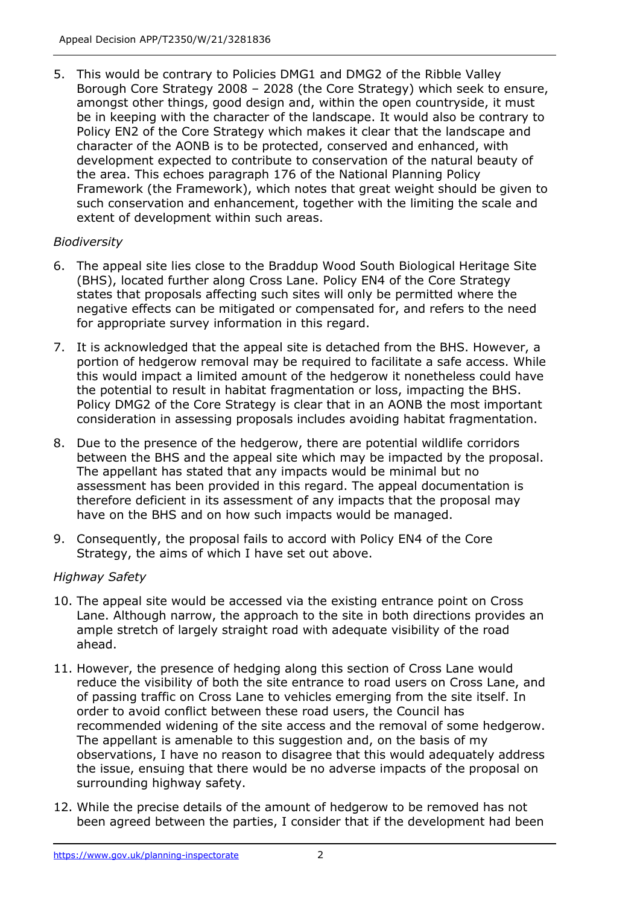5. This would be contrary to Policies DMG1 and DMG2 of the Ribble Valley Borough Core Strategy 2008 – 2028 (the Core Strategy) which seek to ensure, amongst other things, good design and, within the open countryside, it must be in keeping with the character of the landscape. It would also be contrary to Policy EN2 of the Core Strategy which makes it clear that the landscape and character of the AONB is to be protected, conserved and enhanced, with development expected to contribute to conservation of the natural beauty of the area. This echoes paragraph 176 of the National Planning Policy Framework (the Framework), which notes that great weight should be given to such conservation and enhancement, together with the limiting the scale and extent of development within such areas.

## *Biodiversity*

- 6. The appeal site lies close to the Braddup Wood South Biological Heritage Site (BHS), located further along Cross Lane. Policy EN4 of the Core Strategy states that proposals affecting such sites will only be permitted where the negative effects can be mitigated or compensated for, and refers to the need for appropriate survey information in this regard.
- 7. It is acknowledged that the appeal site is detached from the BHS. However, a portion of hedgerow removal may be required to facilitate a safe access. While this would impact a limited amount of the hedgerow it nonetheless could have the potential to result in habitat fragmentation or loss, impacting the BHS. Policy DMG2 of the Core Strategy is clear that in an AONB the most important consideration in assessing proposals includes avoiding habitat fragmentation.
- 8. Due to the presence of the hedgerow, there are potential wildlife corridors between the BHS and the appeal site which may be impacted by the proposal. The appellant has stated that any impacts would be minimal but no assessment has been provided in this regard. The appeal documentation is therefore deficient in its assessment of any impacts that the proposal may have on the BHS and on how such impacts would be managed.
- 9. Consequently, the proposal fails to accord with Policy EN4 of the Core Strategy, the aims of which I have set out above.

## *Highway Safety*

- 10. The appeal site would be accessed via the existing entrance point on Cross Lane. Although narrow, the approach to the site in both directions provides an ample stretch of largely straight road with adequate visibility of the road ahead.
- 11. However, the presence of hedging along this section of Cross Lane would reduce the visibility of both the site entrance to road users on Cross Lane, and of passing traffic on Cross Lane to vehicles emerging from the site itself. In order to avoid conflict between these road users, the Council has recommended widening of the site access and the removal of some hedgerow. The appellant is amenable to this suggestion and, on the basis of my observations, I have no reason to disagree that this would adequately address the issue, ensuing that there would be no adverse impacts of the proposal on surrounding highway safety.
- 12. While the precise details of the amount of hedgerow to be removed has not been agreed between the parties, I consider that if the development had been